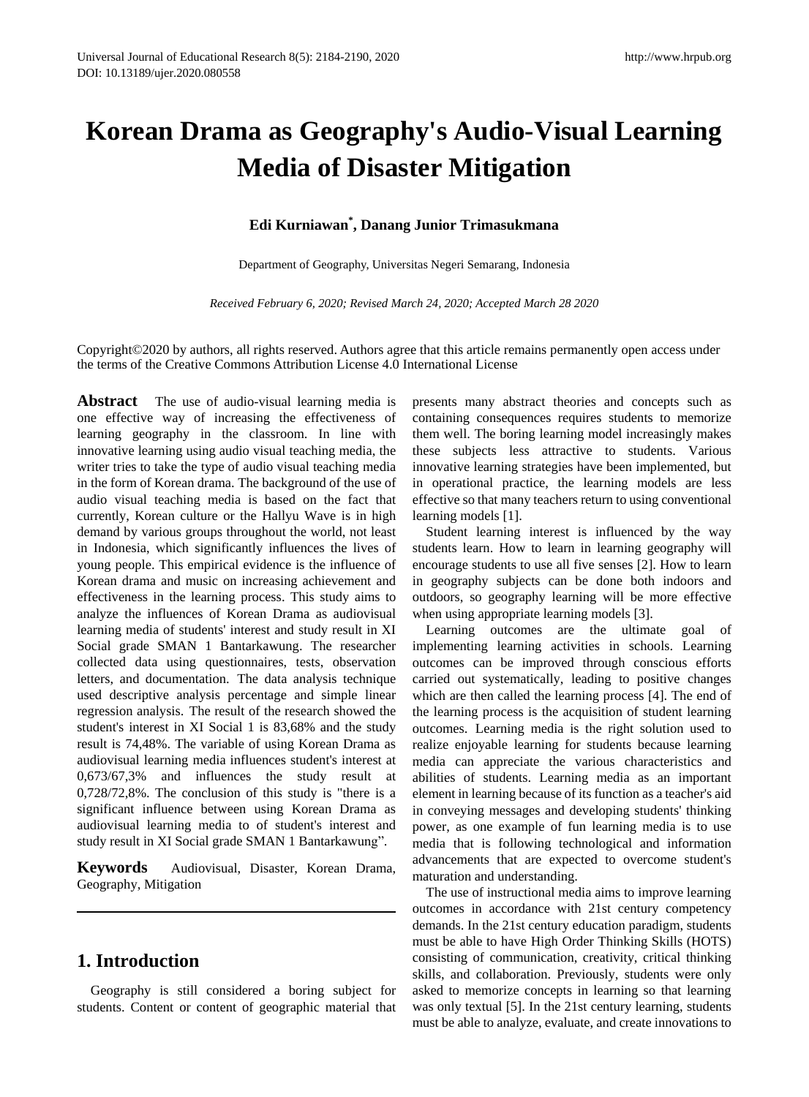# **Korean Drama as Geography's Audio-Visual Learning Media of Disaster Mitigation**

## **Edi Kurniawan\* , Danang Junior Trimasukmana**

Department of Geography, Universitas Negeri Semarang, Indonesia

*Received February 6, 2020; Revised March 24, 2020; Accepted March 28 2020*

Copyright©2020 by authors, all rights reserved. Authors agree that this article remains permanently open access under the terms of the Creative Commons Attribution License 4.0 International License

**Abstract** The use of audio-visual learning media is one effective way of increasing the effectiveness of learning geography in the classroom. In line with innovative learning using audio visual teaching media, the writer tries to take the type of audio visual teaching media in the form of Korean drama. The background of the use of audio visual teaching media is based on the fact that currently, Korean culture or the Hallyu Wave is in high demand by various groups throughout the world, not least in Indonesia, which significantly influences the lives of young people. This empirical evidence is the influence of Korean drama and music on increasing achievement and effectiveness in the learning process. This study aims to analyze the influences of Korean Drama as audiovisual learning media of students' interest and study result in XI Social grade SMAN 1 Bantarkawung. The researcher collected data using questionnaires, tests, observation letters, and documentation. The data analysis technique used descriptive analysis percentage and simple linear regression analysis. The result of the research showed the student's interest in XI Social 1 is 83,68% and the study result is 74,48%. The variable of using Korean Drama as audiovisual learning media influences student's interest at 0,673/67,3% and influences the study result at 0,728/72,8%. The conclusion of this study is "there is a significant influence between using Korean Drama as audiovisual learning media to of student's interest and study result in XI Social grade SMAN 1 Bantarkawung".

**Keywords** Audiovisual, Disaster, Korean Drama, Geography, Mitigation

# **1. Introduction**

Geography is still considered a boring subject for students. Content or content of geographic material that presents many abstract theories and concepts such as containing consequences requires students to memorize them well. The boring learning model increasingly makes these subjects less attractive to students. Various innovative learning strategies have been implemented, but in operational practice, the learning models are less effective so that many teachers return to using conventional learning models [1].

Student learning interest is influenced by the way students learn. How to learn in learning geography will encourage students to use all five senses [2]. How to learn in geography subjects can be done both indoors and outdoors, so geography learning will be more effective when using appropriate learning models [3].

Learning outcomes are the ultimate goal of implementing learning activities in schools. Learning outcomes can be improved through conscious efforts carried out systematically, leading to positive changes which are then called the learning process [4]. The end of the learning process is the acquisition of student learning outcomes. Learning media is the right solution used to realize enjoyable learning for students because learning media can appreciate the various characteristics and abilities of students. Learning media as an important element in learning because of its function as a teacher's aid in conveying messages and developing students' thinking power, as one example of fun learning media is to use media that is following technological and information advancements that are expected to overcome student's maturation and understanding.

The use of instructional media aims to improve learning outcomes in accordance with 21st century competency demands. In the 21st century education paradigm, students must be able to have High Order Thinking Skills (HOTS) consisting of communication, creativity, critical thinking skills, and collaboration. Previously, students were only asked to memorize concepts in learning so that learning was only textual [5]. In the 21st century learning, students must be able to analyze, evaluate, and create innovations to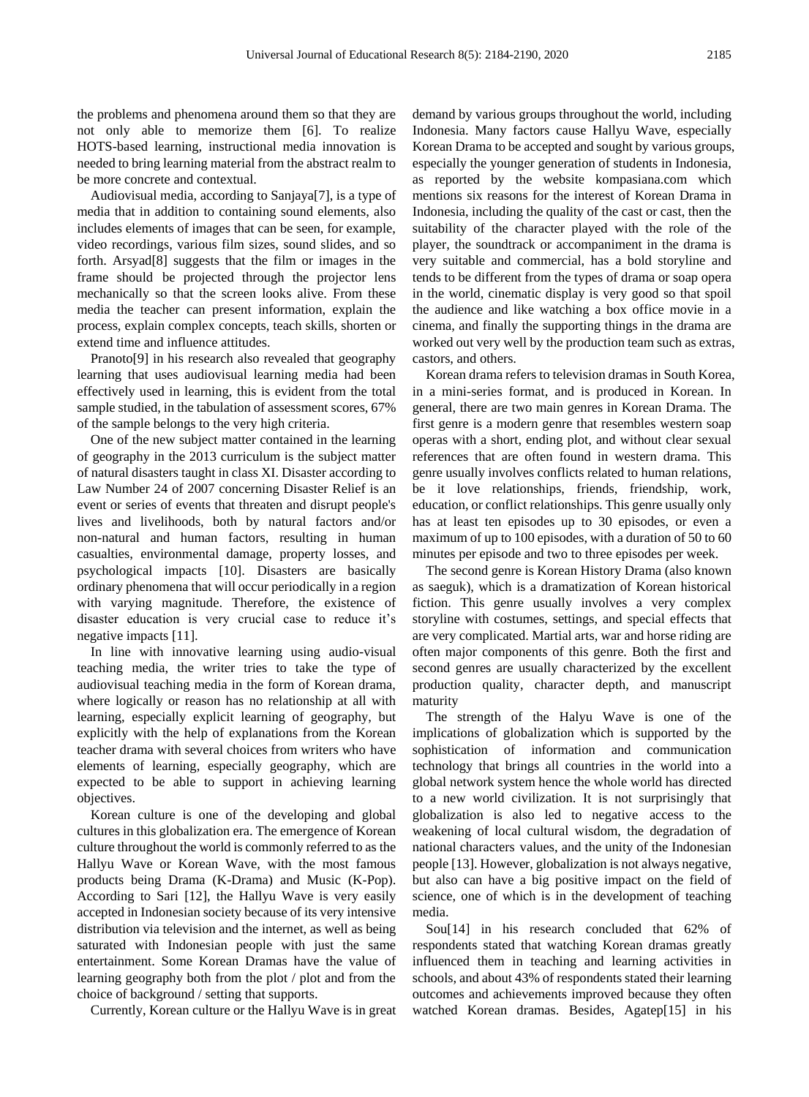the problems and phenomena around them so that they are not only able to memorize them [6]. To realize HOTS-based learning, instructional media innovation is needed to bring learning material from the abstract realm to be more concrete and contextual.

Audiovisual media, according to Sanjaya[7], is a type of media that in addition to containing sound elements, also includes elements of images that can be seen, for example, video recordings, various film sizes, sound slides, and so forth. Arsyad[8] suggests that the film or images in the frame should be projected through the projector lens mechanically so that the screen looks alive. From these media the teacher can present information, explain the process, explain complex concepts, teach skills, shorten or extend time and influence attitudes.

Pranoto[9] in his research also revealed that geography learning that uses audiovisual learning media had been effectively used in learning, this is evident from the total sample studied, in the tabulation of assessment scores, 67% of the sample belongs to the very high criteria.

One of the new subject matter contained in the learning of geography in the 2013 curriculum is the subject matter of natural disasters taught in class XI. Disaster according to Law Number 24 of 2007 concerning Disaster Relief is an event or series of events that threaten and disrupt people's lives and livelihoods, both by natural factors and/or non-natural and human factors, resulting in human casualties, environmental damage, property losses, and psychological impacts [10]. Disasters are basically ordinary phenomena that will occur periodically in a region with varying magnitude. Therefore, the existence of disaster education is very crucial case to reduce it's negative impacts [11].

In line with innovative learning using audio-visual teaching media, the writer tries to take the type of audiovisual teaching media in the form of Korean drama, where logically or reason has no relationship at all with learning, especially explicit learning of geography, but explicitly with the help of explanations from the Korean teacher drama with several choices from writers who have elements of learning, especially geography, which are expected to be able to support in achieving learning objectives.

Korean culture is one of the developing and global cultures in this globalization era. The emergence of Korean culture throughout the world is commonly referred to as the Hallyu Wave or Korean Wave, with the most famous products being Drama (K-Drama) and Music (K-Pop). According to Sari [12], the Hallyu Wave is very easily accepted in Indonesian society because of its very intensive distribution via television and the internet, as well as being saturated with Indonesian people with just the same entertainment. Some Korean Dramas have the value of learning geography both from the plot / plot and from the choice of background / setting that supports.

Currently, Korean culture or the Hallyu Wave is in great

demand by various groups throughout the world, including Indonesia. Many factors cause Hallyu Wave, especially Korean Drama to be accepted and sought by various groups, especially the younger generation of students in Indonesia, as reported by the website kompasiana.com which mentions six reasons for the interest of Korean Drama in Indonesia, including the quality of the cast or cast, then the suitability of the character played with the role of the player, the soundtrack or accompaniment in the drama is very suitable and commercial, has a bold storyline and tends to be different from the types of drama or soap opera in the world, cinematic display is very good so that spoil the audience and like watching a box office movie in a cinema, and finally the supporting things in the drama are worked out very well by the production team such as extras, castors, and others.

Korean drama refers to television dramas in South Korea, in a mini-series format, and is produced in Korean. In general, there are two main genres in Korean Drama. The first genre is a modern genre that resembles western soap operas with a short, ending plot, and without clear sexual references that are often found in western drama. This genre usually involves conflicts related to human relations, be it love relationships, friends, friendship, work, education, or conflict relationships. This genre usually only has at least ten episodes up to 30 episodes, or even a maximum of up to 100 episodes, with a duration of 50 to 60 minutes per episode and two to three episodes per week.

The second genre is Korean History Drama (also known as saeguk), which is a dramatization of Korean historical fiction. This genre usually involves a very complex storyline with costumes, settings, and special effects that are very complicated. Martial arts, war and horse riding are often major components of this genre. Both the first and second genres are usually characterized by the excellent production quality, character depth, and manuscript maturity

The strength of the Halyu Wave is one of the implications of globalization which is supported by the sophistication of information and communication technology that brings all countries in the world into a global network system hence the whole world has directed to a new world civilization. It is not surprisingly that globalization is also led to negative access to the weakening of local cultural wisdom, the degradation of national characters values, and the unity of the Indonesian people [13]. However, globalization is not always negative, but also can have a big positive impact on the field of science, one of which is in the development of teaching media.

Sou[14] in his research concluded that 62% of respondents stated that watching Korean dramas greatly influenced them in teaching and learning activities in schools, and about 43% of respondents stated their learning outcomes and achievements improved because they often watched Korean dramas. Besides, Agatep[15] in his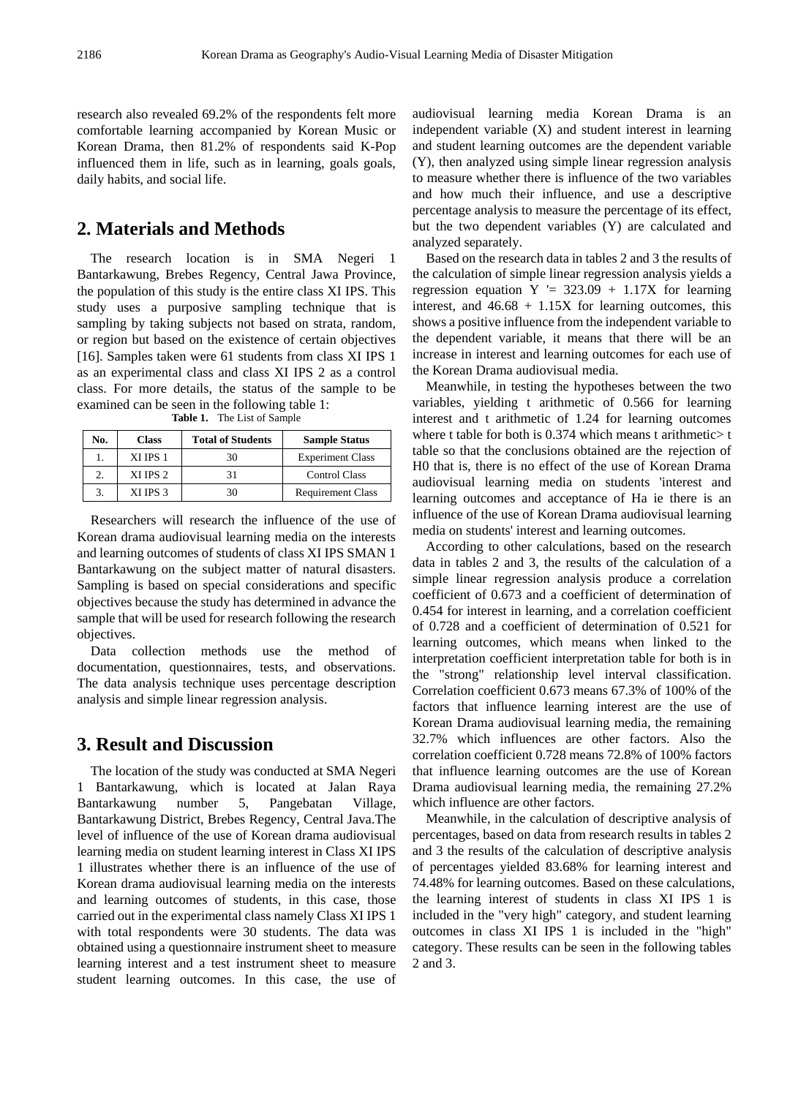research also revealed 69.2% of the respondents felt more comfortable learning accompanied by Korean Music or Korean Drama, then 81.2% of respondents said K-Pop influenced them in life, such as in learning, goals goals, daily habits, and social life.

## **2. Materials and Methods**

The research location is in SMA Negeri 1 Bantarkawung, Brebes Regency, Central Jawa Province, the population of this study is the entire class XI IPS. This study uses a purposive sampling technique that is sampling by taking subjects not based on strata, random, or region but based on the existence of certain objectives [16]. Samples taken were 61 students from class XI IPS 1 as an experimental class and class XI IPS 2 as a control class. For more details, the status of the sample to be examined can be seen in the following table 1:

| No. | <b>Class</b> | <b>Total of Students</b> | <b>Sample Status</b>     |
|-----|--------------|--------------------------|--------------------------|
|     | XI IPS 1     | 30                       | <b>Experiment Class</b>  |
|     | XI IPS 2     | 31                       | <b>Control Class</b>     |
|     | XI IPS 3     | 30                       | <b>Requirement Class</b> |

**Table 1.** The List of Sample

Researchers will research the influence of the use of Korean drama audiovisual learning media on the interests and learning outcomes of students of class XI IPS SMAN 1 Bantarkawung on the subject matter of natural disasters. Sampling is based on special considerations and specific objectives because the study has determined in advance the sample that will be used for research following the research objectives.

Data collection methods use the method of documentation, questionnaires, tests, and observations. The data analysis technique uses percentage description analysis and simple linear regression analysis.

## **3. Result and Discussion**

The location of the study was conducted at SMA Negeri 1 Bantarkawung, which is located at Jalan Raya Bantarkawung number 5, Pangebatan Village, Bantarkawung District, Brebes Regency, Central Java.The level of influence of the use of Korean drama audiovisual learning media on student learning interest in Class XI IPS 1 illustrates whether there is an influence of the use of Korean drama audiovisual learning media on the interests and learning outcomes of students, in this case, those carried out in the experimental class namely Class XI IPS 1 with total respondents were 30 students. The data was obtained using a questionnaire instrument sheet to measure learning interest and a test instrument sheet to measure student learning outcomes. In this case, the use of audiovisual learning media Korean Drama is an independent variable (X) and student interest in learning and student learning outcomes are the dependent variable (Y), then analyzed using simple linear regression analysis to measure whether there is influence of the two variables and how much their influence, and use a descriptive percentage analysis to measure the percentage of its effect, but the two dependent variables (Y) are calculated and analyzed separately.

Based on the research data in tables 2 and 3 the results of the calculation of simple linear regression analysis yields a regression equation  $Y = 323.09 + 1.17X$  for learning interest, and  $46.68 + 1.15X$  for learning outcomes, this shows a positive influence from the independent variable to the dependent variable, it means that there will be an increase in interest and learning outcomes for each use of the Korean Drama audiovisual media.

Meanwhile, in testing the hypotheses between the two variables, yielding t arithmetic of 0.566 for learning interest and t arithmetic of 1.24 for learning outcomes where t table for both is  $0.374$  which means t arithmetic t table so that the conclusions obtained are the rejection of H0 that is, there is no effect of the use of Korean Drama audiovisual learning media on students 'interest and learning outcomes and acceptance of Ha ie there is an influence of the use of Korean Drama audiovisual learning media on students' interest and learning outcomes.

According to other calculations, based on the research data in tables 2 and 3, the results of the calculation of a simple linear regression analysis produce a correlation coefficient of 0.673 and a coefficient of determination of 0.454 for interest in learning, and a correlation coefficient of 0.728 and a coefficient of determination of 0.521 for learning outcomes, which means when linked to the interpretation coefficient interpretation table for both is in the "strong" relationship level interval classification. Correlation coefficient 0.673 means 67.3% of 100% of the factors that influence learning interest are the use of Korean Drama audiovisual learning media, the remaining 32.7% which influences are other factors. Also the correlation coefficient 0.728 means 72.8% of 100% factors that influence learning outcomes are the use of Korean Drama audiovisual learning media, the remaining 27.2% which influence are other factors.

Meanwhile, in the calculation of descriptive analysis of percentages, based on data from research results in tables 2 and 3 the results of the calculation of descriptive analysis of percentages yielded 83.68% for learning interest and 74.48% for learning outcomes. Based on these calculations, the learning interest of students in class XI IPS 1 is included in the "very high" category, and student learning outcomes in class XI IPS 1 is included in the "high" category. These results can be seen in the following tables 2 and 3.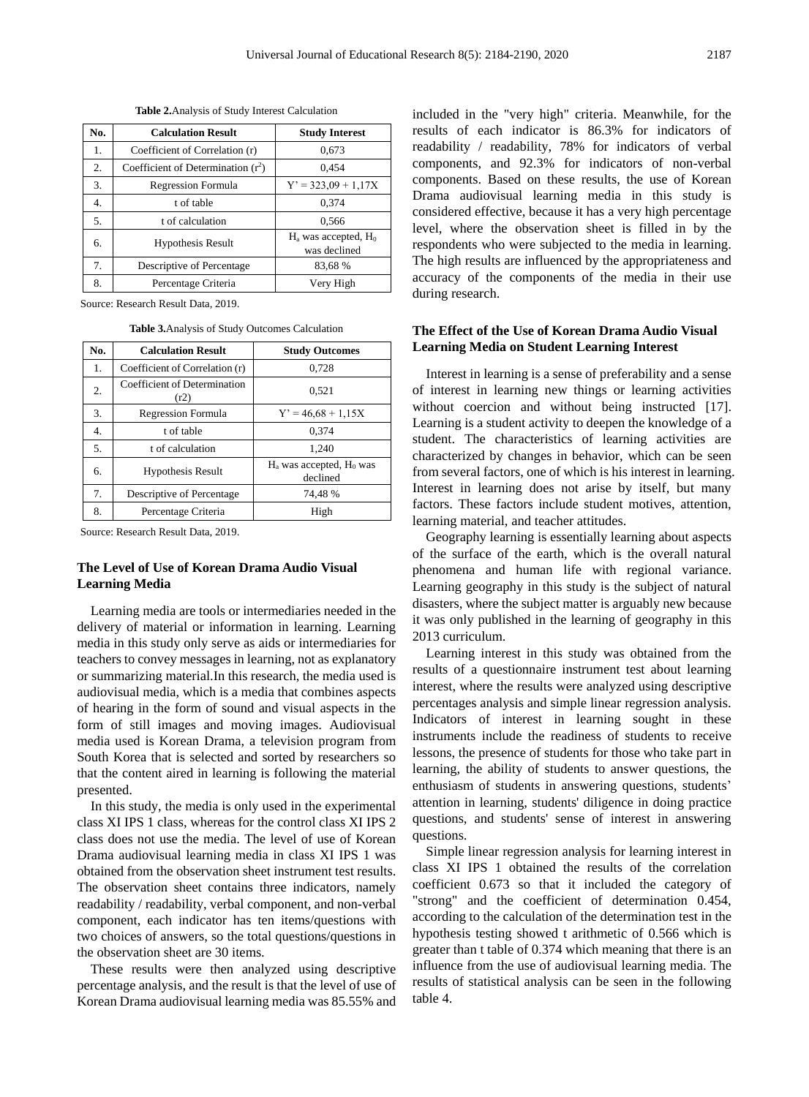| No. | <b>Calculation Result</b>            | <b>Study Interest</b>                   |
|-----|--------------------------------------|-----------------------------------------|
| 1.  | Coefficient of Correlation (r)       | 0,673                                   |
| 2.  | Coefficient of Determination $(r^2)$ | 0.454                                   |
| 3.  | <b>Regression Formula</b>            | $Y' = 323.09 + 1.17X$                   |
| 4.  | t of table                           | 0,374                                   |
| 5.  | t of calculation                     | 0.566                                   |
| 6.  | <b>Hypothesis Result</b>             | $Ha$ was accepted, $H0$<br>was declined |
| 7.  | Descriptive of Percentage            | 83,68 %                                 |
| 8.  | Percentage Criteria                  | Very High                               |

**Table 2.**Analysis of Study Interest Calculation

Source: Research Result Data, 2019.

|  | Table 3. Analysis of Study Outcomes Calculation |  |
|--|-------------------------------------------------|--|
|--|-------------------------------------------------|--|

| No. | <b>Calculation Result</b>            | <b>Study Outcomes</b>                   |
|-----|--------------------------------------|-----------------------------------------|
| 1.  | Coefficient of Correlation (r)       | 0,728                                   |
| 2.  | Coefficient of Determination<br>(r2) | 0,521                                   |
| 3.  | <b>Regression Formula</b>            | $Y' = 46.68 + 1.15X$                    |
| 4.  | t of table                           | 0.374                                   |
| 5.  | t of calculation                     | 1.240                                   |
| 6.  | Hypothesis Result                    | $Ha$ was accepted, $H0$ was<br>declined |
| 7.  | Descriptive of Percentage            | 74,48 %                                 |
| 8.  | Percentage Criteria                  | High                                    |

Source: Research Result Data, 2019.

#### **The Level of Use of Korean Drama Audio Visual Learning Media**

Learning media are tools or intermediaries needed in the delivery of material or information in learning. Learning media in this study only serve as aids or intermediaries for teachers to convey messages in learning, not as explanatory or summarizing material.In this research, the media used is audiovisual media, which is a media that combines aspects of hearing in the form of sound and visual aspects in the form of still images and moving images. Audiovisual media used is Korean Drama, a television program from South Korea that is selected and sorted by researchers so that the content aired in learning is following the material presented.

In this study, the media is only used in the experimental class XI IPS 1 class, whereas for the control class XI IPS 2 class does not use the media. The level of use of Korean Drama audiovisual learning media in class XI IPS 1 was obtained from the observation sheet instrument test results. The observation sheet contains three indicators, namely readability / readability, verbal component, and non-verbal component, each indicator has ten items/questions with two choices of answers, so the total questions/questions in the observation sheet are 30 items.

These results were then analyzed using descriptive percentage analysis, and the result is that the level of use of Korean Drama audiovisual learning media was 85.55% and

included in the "very high" criteria. Meanwhile, for the results of each indicator is 86.3% for indicators of readability / readability, 78% for indicators of verbal components, and 92.3% for indicators of non-verbal components. Based on these results, the use of Korean Drama audiovisual learning media in this study is considered effective, because it has a very high percentage level, where the observation sheet is filled in by the respondents who were subjected to the media in learning. The high results are influenced by the appropriateness and accuracy of the components of the media in their use during research.

#### **The Effect of the Use of Korean Drama Audio Visual Learning Media on Student Learning Interest**

Interest in learning is a sense of preferability and a sense of interest in learning new things or learning activities without coercion and without being instructed [17]. Learning is a student activity to deepen the knowledge of a student. The characteristics of learning activities are characterized by changes in behavior, which can be seen from several factors, one of which is his interest in learning. Interest in learning does not arise by itself, but many factors. These factors include student motives, attention, learning material, and teacher attitudes.

Geography learning is essentially learning about aspects of the surface of the earth, which is the overall natural phenomena and human life with regional variance. Learning geography in this study is the subject of natural disasters, where the subject matter is arguably new because it was only published in the learning of geography in this 2013 curriculum.

Learning interest in this study was obtained from the results of a questionnaire instrument test about learning interest, where the results were analyzed using descriptive percentages analysis and simple linear regression analysis. Indicators of interest in learning sought in these instruments include the readiness of students to receive lessons, the presence of students for those who take part in learning, the ability of students to answer questions, the enthusiasm of students in answering questions, students' attention in learning, students' diligence in doing practice questions, and students' sense of interest in answering questions.

Simple linear regression analysis for learning interest in class XI IPS 1 obtained the results of the correlation coefficient 0.673 so that it included the category of "strong" and the coefficient of determination 0.454, according to the calculation of the determination test in the hypothesis testing showed t arithmetic of 0.566 which is greater than t table of 0.374 which meaning that there is an influence from the use of audiovisual learning media. The results of statistical analysis can be seen in the following table 4.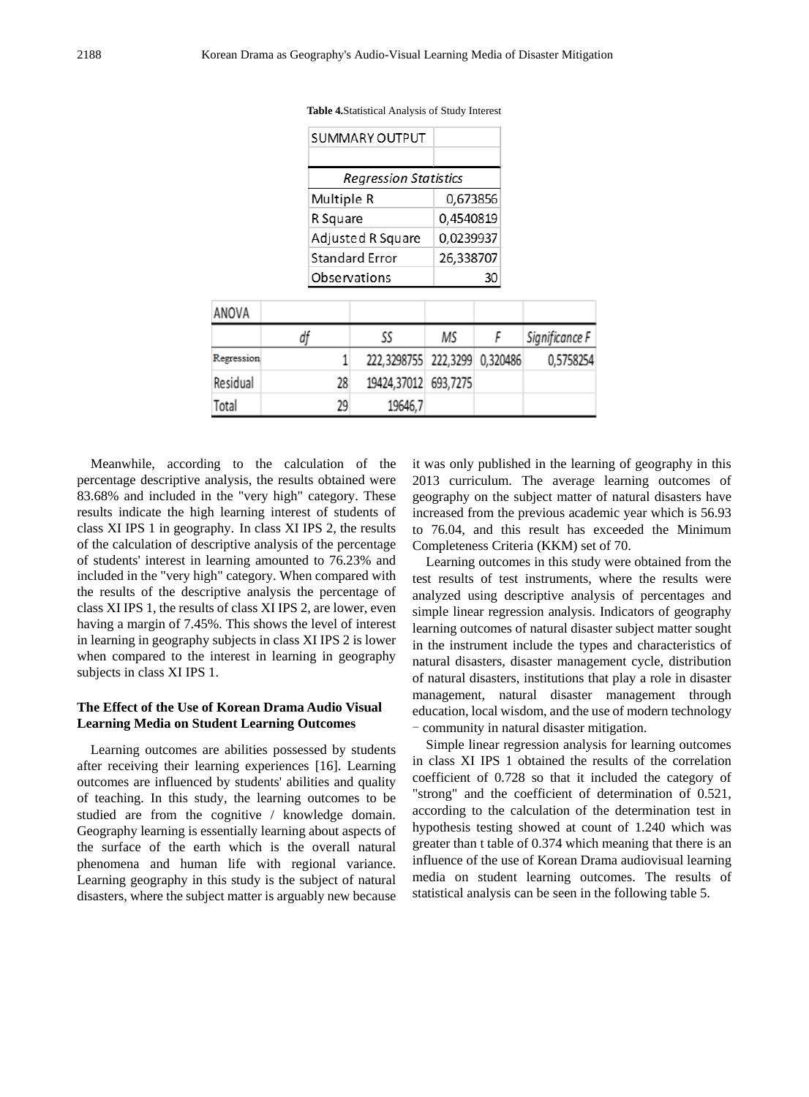| SUMMARY OUTPUT               |           |
|------------------------------|-----------|
|                              |           |
| <b>Regression Statistics</b> |           |
| Multiple R                   | 0,673856  |
| R Square                     | 0,4540819 |
| Adjusted R Square            | 0,0239937 |
| Standard Frror               | 26,338707 |
| Observations                 |           |

**Table 4.**Statistical Analysis of Study Interest

| ANOVA      |    |                               |    |                |
|------------|----|-------------------------------|----|----------------|
|            | df | SS                            | ΜS | Significance F |
| Regression |    | 222,3298755 222,3299 0,320486 |    | 0,5758254      |
| Residual   | 28 | 19424,37012 693,7275          |    |                |
| Total      | 29 | 19646,7                       |    |                |

Meanwhile, according to the calculation of the percentage descriptive analysis, the results obtained were 83.68% and included in the "very high" category. These results indicate the high learning interest of students of class XI IPS 1 in geography. In class XI IPS 2, the results of the calculation of descriptive analysis of the percentage of students' interest in learning amounted to 76.23% and included in the "very high" category. When compared with the results of the descriptive analysis the percentage of class XI IPS 1, the results of class XI IPS 2, are lower, even having a margin of 7.45%. This shows the level of interest in learning in geography subjects in class XI IPS 2 is lower when compared to the interest in learning in geography subjects in class XI IPS 1.

#### **The Effect of the Use of Korean Drama Audio Visual Learning Media on Student Learning Outcomes**

Learning outcomes are abilities possessed by students after receiving their learning experiences [16]. Learning outcomes are influenced by students' abilities and quality of teaching. In this study, the learning outcomes to be studied are from the cognitive / knowledge domain. Geography learning is essentially learning about aspects of the surface of the earth which is the overall natural phenomena and human life with regional variance. Learning geography in this study is the subject of natural disasters, where the subject matter is arguably new because

it was only published in the learning of geography in this 2013 curriculum. The average learning outcomes of geography on the subject matter of natural disasters have increased from the previous academic year which is 56.93 to 76.04, and this result has exceeded the Minimum Completeness Criteria (KKM) set of 70.

Learning outcomes in this study were obtained from the test results of test instruments, where the results were analyzed using descriptive analysis of percentages and simple linear regression analysis. Indicators of geography learning outcomes of natural disaster subject matter sought in the instrument include the types and characteristics of natural disasters, disaster management cycle, distribution of natural disasters, institutions that play a role in disaster management, natural disaster management through education, local wisdom, and the use of modern technology - community in natural disaster mitigation.

Simple linear regression analysis for learning outcomes in class XI IPS 1 obtained the results of the correlation coefficient of 0.728 so that it included the category of "strong" and the coefficient of determination of 0.521, according to the calculation of the determination test in hypothesis testing showed at count of 1.240 which was greater than t table of 0.374 which meaning that there is an influence of the use of Korean Drama audiovisual learning media on student learning outcomes. The results of statistical analysis can be seen in the following table 5.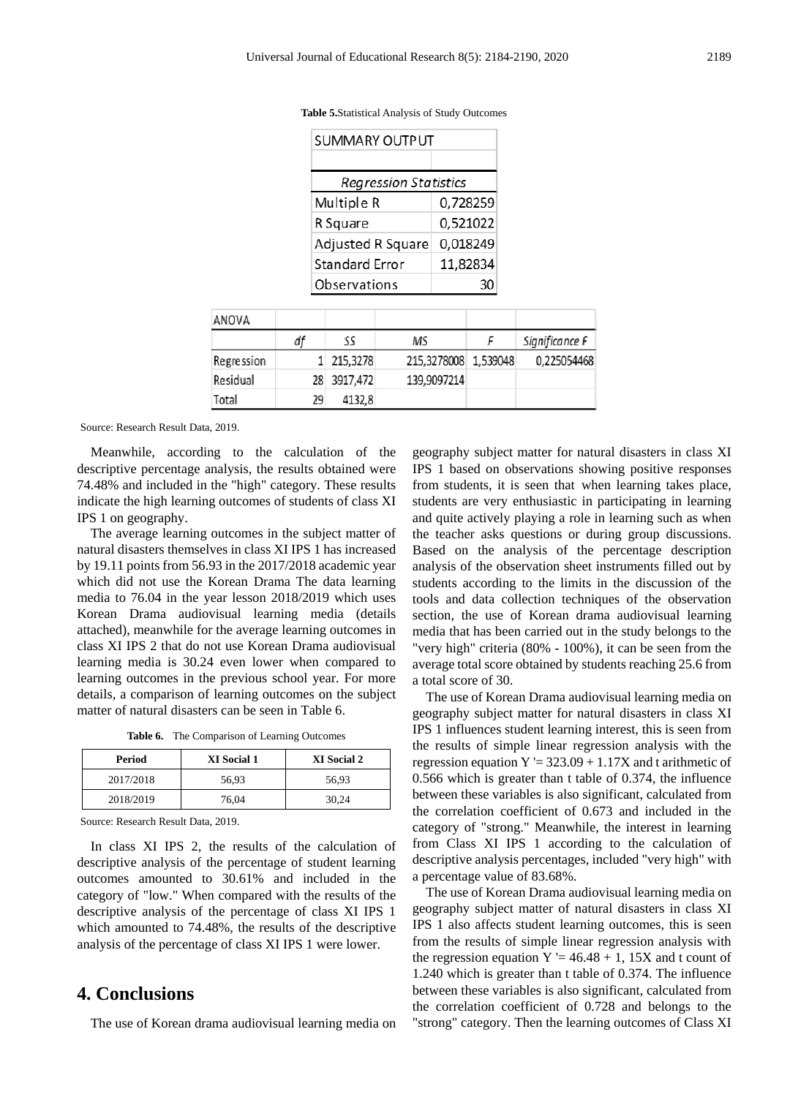**Table 5.**Statistical Analysis of Study Outcomes

| SUMMARY OUTPUT               |          |  |  |  |
|------------------------------|----------|--|--|--|
|                              |          |  |  |  |
| <b>Regression Statistics</b> |          |  |  |  |
| Multiple R<br>0,728259       |          |  |  |  |
| R Square                     | 0,521022 |  |  |  |
| <b>Adjusted R Square</b>     | 0,018249 |  |  |  |
| <b>Standard Error</b>        | 11,82834 |  |  |  |
| Observations                 |          |  |  |  |

| ANOVA      |    |             |                      |                |
|------------|----|-------------|----------------------|----------------|
|            | df | SS          | ΜS                   | Significance F |
| Regression |    | 1 215,3278  | 215,3278008 1,539048 | 0,225054468    |
| Residual   |    | 28 3917,472 | 139,9097214          |                |
| Total      | 29 | 4132.8      |                      |                |

Source: Research Result Data, 2019.

Meanwhile, according to the calculation of the descriptive percentage analysis, the results obtained were 74.48% and included in the "high" category. These results indicate the high learning outcomes of students of class XI IPS 1 on geography.

The average learning outcomes in the subject matter of natural disasters themselves in class XI IPS 1 has increased by 19.11 points from 56.93 in the 2017/2018 academic year which did not use the Korean Drama The data learning media to 76.04 in the year lesson 2018/2019 which uses Korean Drama audiovisual learning media (details attached), meanwhile for the average learning outcomes in class XI IPS 2 that do not use Korean Drama audiovisual learning media is 30.24 even lower when compared to learning outcomes in the previous school year. For more details, a comparison of learning outcomes on the subject matter of natural disasters can be seen in Table 6.

**Table 6.** The Comparison of Learning Outcomes

| Period    | <b>XI Social 1</b> | XI Social 2 |
|-----------|--------------------|-------------|
| 2017/2018 | 56.93              | 56,93       |
| 2018/2019 | 76.04              | 30.24       |

Source: Research Result Data, 2019.

In class XI IPS 2, the results of the calculation of descriptive analysis of the percentage of student learning outcomes amounted to 30.61% and included in the category of "low." When compared with the results of the descriptive analysis of the percentage of class XI IPS 1 which amounted to 74.48%, the results of the descriptive analysis of the percentage of class XI IPS 1 were lower.

### **4. Conclusions**

The use of Korean drama audiovisual learning media on

geography subject matter for natural disasters in class XI IPS 1 based on observations showing positive responses from students, it is seen that when learning takes place, students are very enthusiastic in participating in learning and quite actively playing a role in learning such as when the teacher asks questions or during group discussions. Based on the analysis of the percentage description analysis of the observation sheet instruments filled out by students according to the limits in the discussion of the tools and data collection techniques of the observation section, the use of Korean drama audiovisual learning media that has been carried out in the study belongs to the "very high" criteria (80% - 100%), it can be seen from the average total score obtained by students reaching 25.6 from a total score of 30.

The use of Korean Drama audiovisual learning media on geography subject matter for natural disasters in class XI IPS 1 influences student learning interest, this is seen from the results of simple linear regression analysis with the regression equation  $Y = 323.09 + 1.17X$  and t arithmetic of 0.566 which is greater than t table of 0.374, the influence between these variables is also significant, calculated from the correlation coefficient of 0.673 and included in the category of "strong." Meanwhile, the interest in learning from Class XI IPS 1 according to the calculation of descriptive analysis percentages, included "very high" with a percentage value of 83.68%.

The use of Korean Drama audiovisual learning media on geography subject matter of natural disasters in class XI IPS 1 also affects student learning outcomes, this is seen from the results of simple linear regression analysis with the regression equation  $Y = 46.48 + 1$ , 15X and t count of 1.240 which is greater than t table of 0.374. The influence between these variables is also significant, calculated from the correlation coefficient of 0.728 and belongs to the "strong" category. Then the learning outcomes of Class XI